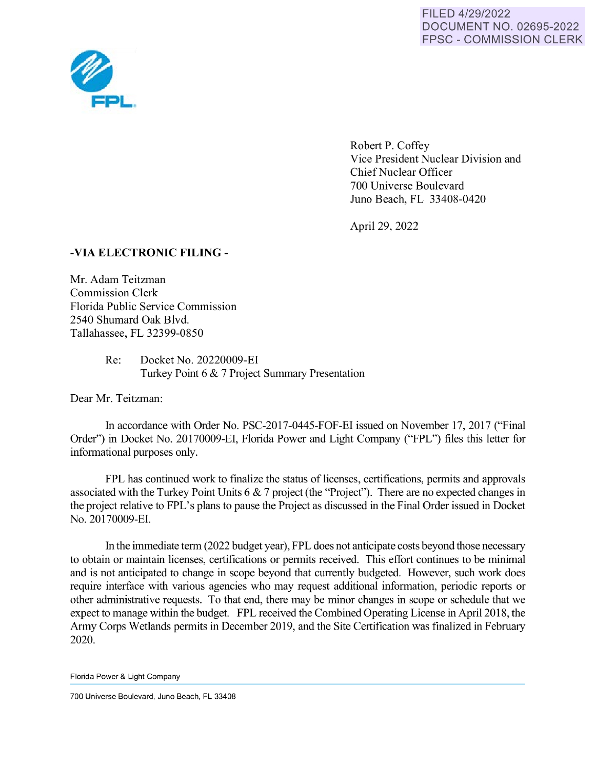FILED 4/29/2022 DOCUMENT NO. 02695-2022 FPSC - COMMISSION CLERK



Robert P. Coffey Vice President Nuclear Division and Chief Nuclear Officer 700 Universe Boulevard Juno Beach, FL 33408-0420

April 29, 2022

## **-VIA ELECTRONIC FILING** -

Mr. Adam Teitzman Commission Clerk Florida Public Service Commission 2540 Shumard Oak Blvd. Tallahassee, FL 32399-0850

> Re: Docket No. 20220009-EI Turkey Point 6 & 7 Project Summary Presentation

Dear Mr. Teitzman:

In accordance with Order No. PSC-2017-0445-FOF-EI issued on November 17, 2017 ("Final Order'') in Docket No. 20170009-EI, Florida Power and Light Company ("FPL") files this letter for informational purposes only.

FPL has continued work to finalize the status of licenses, certifications, permits and approvals associated with the Turkey Point Units 6 & 7 project (the "Project"). There are no expected changes in the project relative to FPL's plans to pause the Project as discussed in the Final Order issued in Docket No. 20170009-EI.

In the immediate term (2022 budget year), FPL does not anticipate costs beyond those necessary to obtain or maintain licenses, certifications or permits received. This effort continues to be minimal and is not anticipated to change in scope beyond that currently budgeted. However, such work does require interface with various agencies who may request additional information, periodic reports or other administrative requests. To that end, there may be minor changes in scope or schedule that we expect to manage within the budget. FPL received the Combined Operating License in April 2018, the Army Corps Wetlands permits in December 2019, and the Site Certification was finalized in February 2020.

Florida Power & Light Company

700 Universe Boulevard, Juno Beach, FL 33408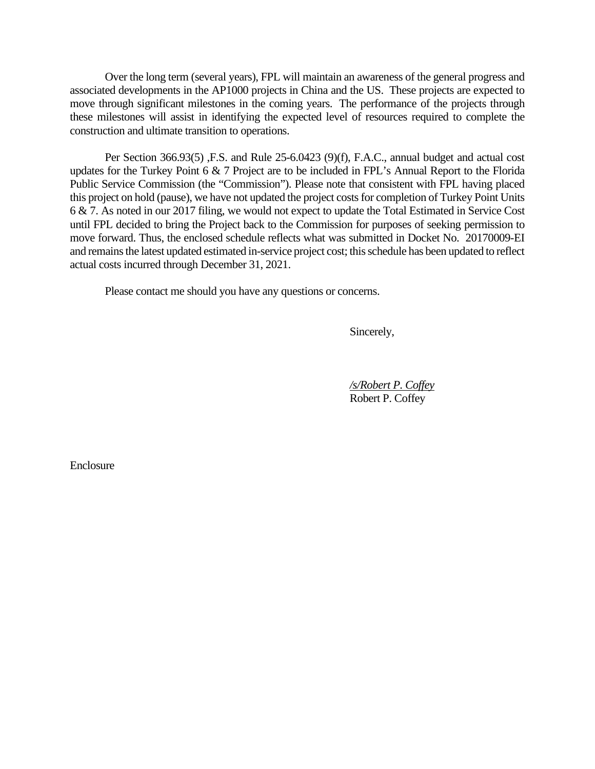Over the long term (several years), FPL will maintain an awareness of the general progress and associated developments in the AP1000 projects in China and the US. These projects are expected to move through significant milestones in the coming years. The performance of the projects through these milestones will assist in identifying the expected level of resources required to complete the construction and ultimate transition to operations.

Per Section 366.93(5) ,F.S. and Rule 25-6.0423 (9)(f), F.A.C., annual budget and actual cost updates for the Turkey Point 6 & 7 Project are to be included in FPL's Annual Report to the Florida Public Service Commission (the "Commission"). Please note that consistent with FPL having placed this project on hold (pause), we have not updated the project costs for completion of Turkey Point Units 6 & 7. As noted in our 2017 filing, we would not expect to update the Total Estimated in Service Cost until FPL decided to bring the Project back to the Commission for purposes of seeking permission to move forward. Thus, the enclosed schedule reflects what was submitted in Docket No. 20170009-EI and remains the latest updated estimated in-service project cost; this schedule has been updated to reflect actual costs incurred through December 31, 2021.

Please contact me should you have any questions or concerns.

Sincerely,

 */s/Robert P. Coffey* Robert P. Coffey

Enclosure